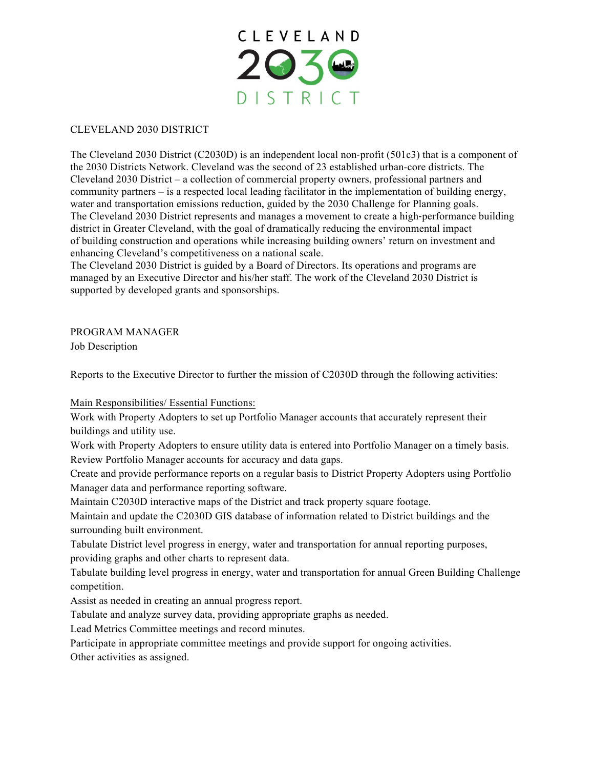

### CLEVELAND 2030 DISTRICT

The Cleveland 2030 District (C2030D) is an independent local non-profit (501c3) that is a component of the 2030 Districts Network. Cleveland was the second of 23 established urban-core districts. The Cleveland 2030 District – a collection of commercial property owners, professional partners and community partners – is a respected local leading facilitator in the implementation of building energy, water and transportation emissions reduction, guided by the 2030 Challenge for Planning goals. The Cleveland 2030 District represents and manages a movement to create a high-performance building district in Greater Cleveland, with the goal of dramatically reducing the environmental impact of building construction and operations while increasing building owners' return on investment and enhancing Cleveland's competitiveness on a national scale.

The Cleveland 2030 District is guided by a Board of Directors. Its operations and programs are managed by an Executive Director and his/her staff. The work of the Cleveland 2030 District is supported by developed grants and sponsorships.

# PROGRAM MANAGER

Job Description

Reports to the Executive Director to further the mission of C2030D through the following activities:

Main Responsibilities/ Essential Functions:

Work with Property Adopters to set up Portfolio Manager accounts that accurately represent their buildings and utility use.

Work with Property Adopters to ensure utility data is entered into Portfolio Manager on a timely basis. Review Portfolio Manager accounts for accuracy and data gaps.

Create and provide performance reports on a regular basis to District Property Adopters using Portfolio Manager data and performance reporting software.

Maintain C2030D interactive maps of the District and track property square footage.

Maintain and update the C2030D GIS database of information related to District buildings and the surrounding built environment.

Tabulate District level progress in energy, water and transportation for annual reporting purposes, providing graphs and other charts to represent data.

Tabulate building level progress in energy, water and transportation for annual Green Building Challenge competition.

Assist as needed in creating an annual progress report.

Tabulate and analyze survey data, providing appropriate graphs as needed.

Lead Metrics Committee meetings and record minutes.

Participate in appropriate committee meetings and provide support for ongoing activities.

Other activities as assigned.